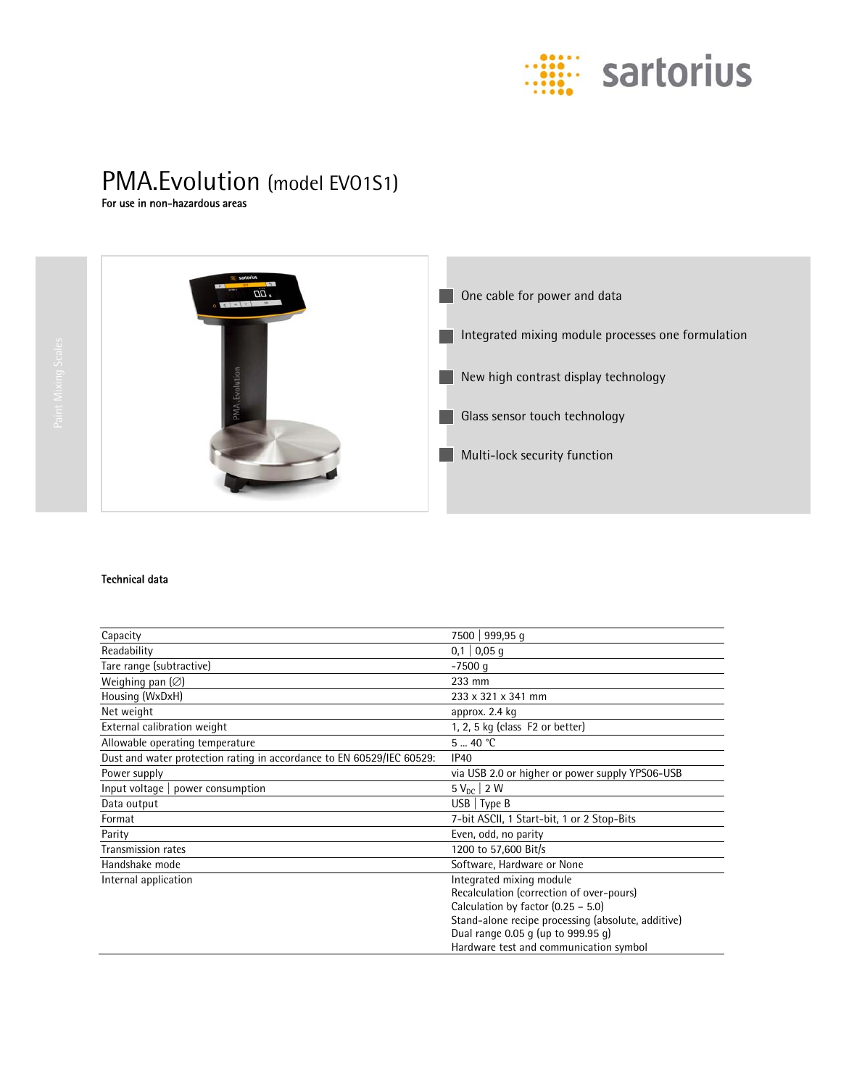

# PMA.Evolution (model EVO1S1)<br>For use in non-hazardous areas



## Technical data

| Capacity                                                              | 7500   999,95 q                                    |  |
|-----------------------------------------------------------------------|----------------------------------------------------|--|
| Readability                                                           | $0,1$   0,05 q                                     |  |
| Tare range (subtractive)                                              | $-7500q$                                           |  |
| Weighing pan $(\varnothing)$                                          | 233 mm                                             |  |
| Housing (WxDxH)                                                       | 233 x 321 x 341 mm                                 |  |
| Net weight                                                            | approx. 2.4 kg                                     |  |
| External calibration weight                                           | 1, 2, 5 kg (class F2 or better)                    |  |
| Allowable operating temperature                                       | 540 °C                                             |  |
| Dust and water protection rating in accordance to EN 60529/IEC 60529: | <b>IP40</b>                                        |  |
| Power supply                                                          | via USB 2.0 or higher or power supply YPS06-USB    |  |
| Input voltage $ $ power consumption                                   | $5 V_{DC}$   2 W                                   |  |
| Data output                                                           | $USB$   Type B                                     |  |
| Format                                                                | 7-bit ASCII, 1 Start-bit, 1 or 2 Stop-Bits         |  |
| Parity                                                                | Even, odd, no parity                               |  |
| Transmission rates                                                    | 1200 to 57,600 Bit/s                               |  |
| Handshake mode                                                        | Software, Hardware or None                         |  |
| Internal application                                                  | Integrated mixing module                           |  |
|                                                                       | Recalculation (correction of over-pours)           |  |
|                                                                       | Calculation by factor $(0.25 - 5.0)$               |  |
|                                                                       | Stand-alone recipe processing (absolute, additive) |  |
|                                                                       | Dual range 0.05 g (up to $999.95$ g)               |  |
|                                                                       | Hardware test and communication symbol             |  |
|                                                                       |                                                    |  |